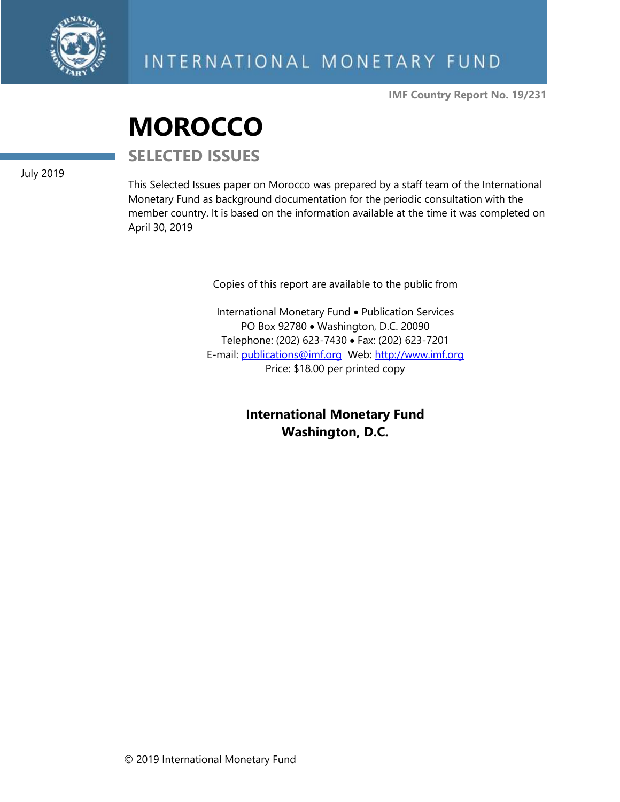

**IMF Country Report No. 19/231**

# **MOROCCO**

**SELECTED ISSUES**

July 2019

This Selected Issues paper on Morocco was prepared by a staff team of the International Monetary Fund as background documentation for the periodic consultation with the member country. It is based on the information available at the time it was completed on April 30, 2019

Copies of this report are available to the public from

International Monetary Fund • Publication Services PO Box 92780 • Washington, D.C. 20090 Telephone: (202) 623-7430 • Fax: (202) 623-7201 E-mail: [publications@imf.org](mailto:publications@imf.org) Web: [http://www.imf.org](http://www.imf.org/) Price: \$18.00 per printed copy

> **International Monetary Fund Washington, D.C.**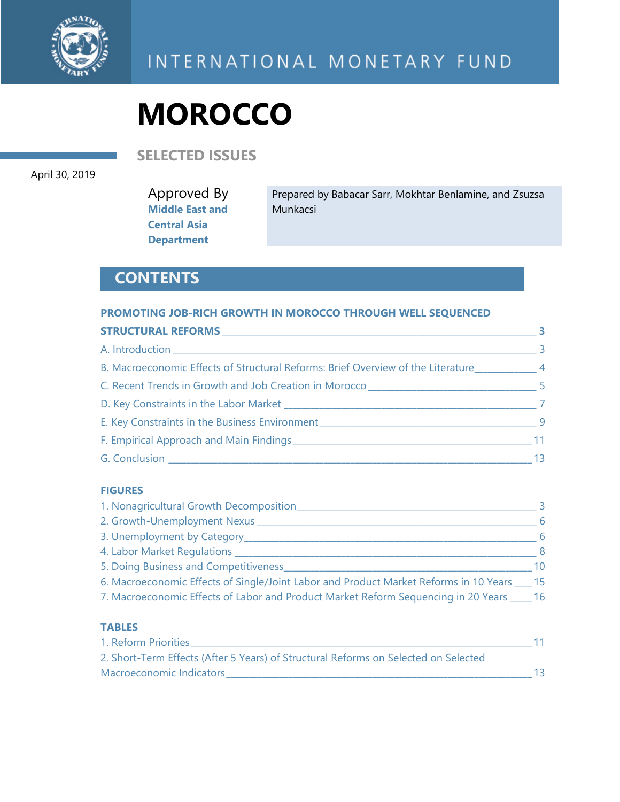

**SELECTED ISSUES** 

April 30, 2019

Approved By **Middle East and Central Asia Department** 

Prepared by Babacar Sarr, Mokhtar Benlamine, and Zsuzsa Munkacsi

# **CONTENTS**

#### **PROMOTING JOB-RICH GROWTH IN MOROCCO THROUGH WELL SEQUENCED**

|                                                                                  | $\sim$ 3 |
|----------------------------------------------------------------------------------|----------|
| B. Macroeconomic Effects of Structural Reforms: Brief Overview of the Literature |          |
|                                                                                  |          |
|                                                                                  |          |
|                                                                                  |          |
|                                                                                  |          |
|                                                                                  | 13       |

#### **FIGURES**

| 1. Nonagricultural Growth Decomposition                                                  |     |
|------------------------------------------------------------------------------------------|-----|
| 2. Growth-Unemployment Nexus                                                             | 6   |
| 3. Unemployment by Category_                                                             |     |
| 4. Labor Market Regulations __                                                           | - 8 |
| 5. Doing Business and Competitiveness                                                    | 10  |
| 6. Macroeconomic Effects of Single/Joint Labor and Product Market Reforms in 10 Years 15 |     |
| 7. Macroeconomic Effects of Labor and Product Market Reform Sequencing in 20 Years       | -16 |

#### **TABLES**

| 1. Reform Priorities                                                                |  |
|-------------------------------------------------------------------------------------|--|
| 2. Short-Term Effects (After 5 Years) of Structural Reforms on Selected on Selected |  |
| Macroeconomic Indicators                                                            |  |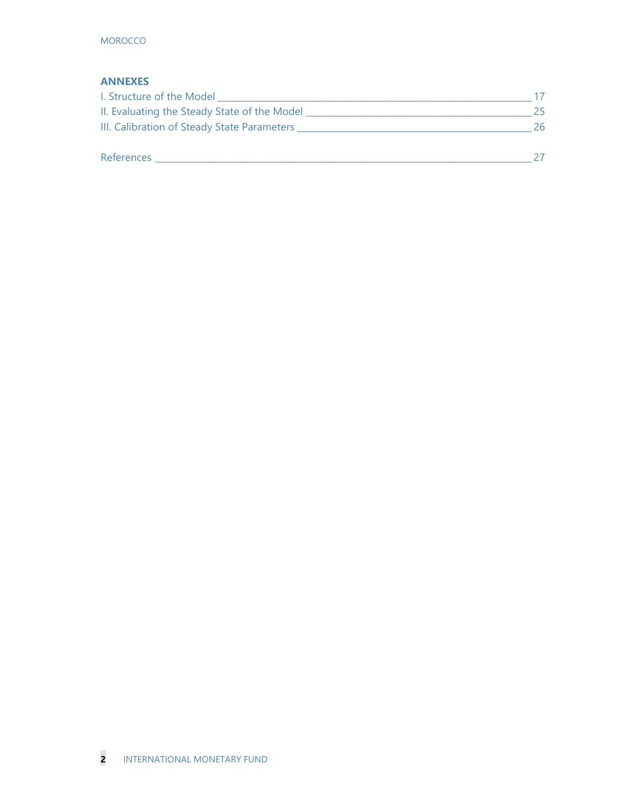#### **ANNEXES**

| I. Structure of the Model                    |    |
|----------------------------------------------|----|
| II. Evaluating the Steady State of the Model | 25 |
| III. Calibration of Steady State Parameters  | 26 |
| References                                   |    |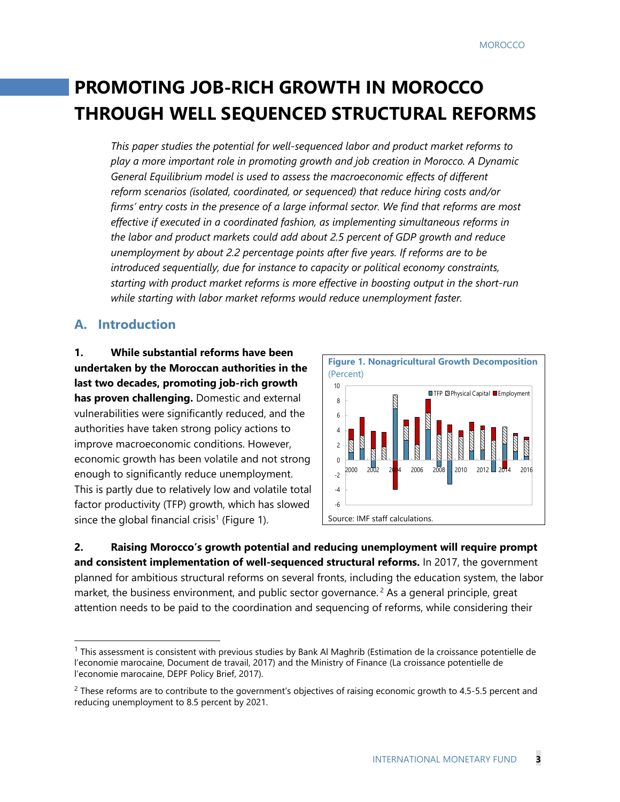# **PROMOTING JOB-RICH GROWTH IN MOROCCO THROUGH WELL SEQUENCED STRUCTURAL REFORMS**

*This paper studies the potential for well-sequenced labor and product market reforms to play a more important role in promoting growth and job creation in Morocco. A Dynamic General Equilibrium model is used to assess the macroeconomic effects of different reform scenarios (isolated, coordinated, or sequenced) that reduce hiring costs and/or firms' entry costs in the presence of a large informal sector. We find that reforms are most effective if executed in a coordinated fashion, as implementing simultaneous reforms in the labor and product markets could add about 2.5 percent of GDP growth and reduce unemployment by about 2.2 percentage points after five years. If reforms are to be introduced sequentially, due for instance to capacity or political economy constraints, starting with product market reforms is more effective in boosting output in the short-run while starting with labor market reforms would reduce unemployment faster.* 

#### **A. Introduction**

-

**1. While substantial reforms have been undertaken by the Moroccan authorities in the last two decades, promoting job-rich growth has proven challenging.** Domestic and external vulnerabilities were significantly reduced, and the authorities have taken strong policy actions to improve macroeconomic conditions. However, economic growth has been volatile and not strong enough to significantly reduce unemployment. This is partly due to relatively low and volatile total factor productivity (TFP) growth, which has slowed since the global financial crisis<sup>1</sup> (Figure 1).



**2. Raising Morocco's growth potential and reducing unemployment will require prompt and consistent implementation of well-sequenced structural reforms.** In 2017, the government planned for ambitious structural reforms on several fronts, including the education system, the labor market, the business environment, and public sector governance.<sup>2</sup> As a general principle, great attention needs to be paid to the coordination and sequencing of reforms, while considering their

<sup>1</sup> This assessment is consistent with previous studies by Bank Al Maghrib (Estimation de la croissance potentielle de l'economie marocaine, Document de travail, 2017) and the Ministry of Finance (La croissance potentielle de l'economie marocaine, DEPF Policy Brief, 2017).

<sup>&</sup>lt;sup>2</sup> These reforms are to contribute to the government's objectives of raising economic growth to 4.5-5.5 percent and reducing unemployment to 8.5 percent by 2021.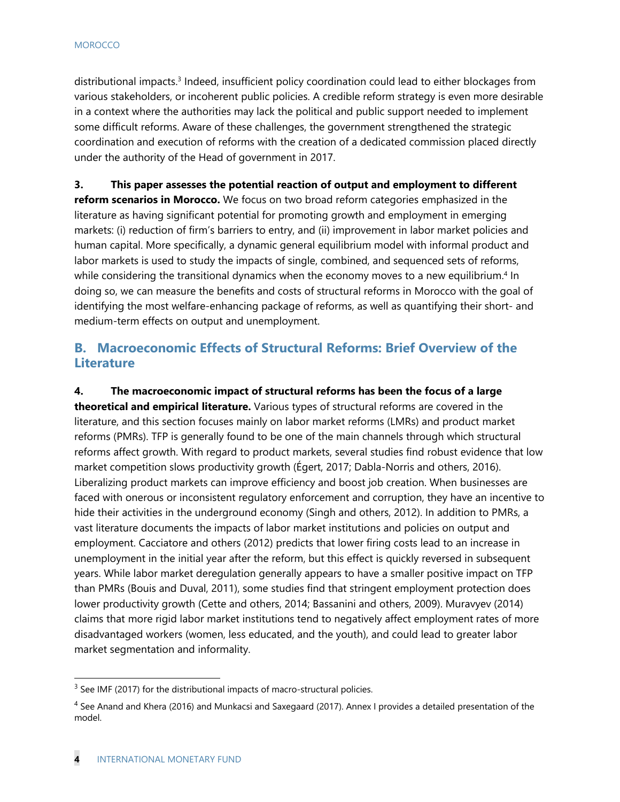distributional impacts.3 Indeed, insufficient policy coordination could lead to either blockages from various stakeholders, or incoherent public policies. A credible reform strategy is even more desirable in a context where the authorities may lack the political and public support needed to implement some difficult reforms. Aware of these challenges, the government strengthened the strategic coordination and execution of reforms with the creation of a dedicated commission placed directly under the authority of the Head of government in 2017.

**3. This paper assesses the potential reaction of output and employment to different reform scenarios in Morocco.** We focus on two broad reform categories emphasized in the literature as having significant potential for promoting growth and employment in emerging markets: (i) reduction of firm's barriers to entry, and (ii) improvement in labor market policies and human capital. More specifically, a dynamic general equilibrium model with informal product and labor markets is used to study the impacts of single, combined, and sequenced sets of reforms, while considering the transitional dynamics when the economy moves to a new equilibrium.<sup>4</sup> In doing so, we can measure the benefits and costs of structural reforms in Morocco with the goal of identifying the most welfare-enhancing package of reforms, as well as quantifying their short- and medium-term effects on output and unemployment.

### **B. Macroeconomic Effects of Structural Reforms: Brief Overview of the Literature**

**4. The macroeconomic impact of structural reforms has been the focus of a large theoretical and empirical literature.** Various types of structural reforms are covered in the literature, and this section focuses mainly on labor market reforms (LMRs) and product market reforms (PMRs). TFP is generally found to be one of the main channels through which structural reforms affect growth. With regard to product markets, several studies find robust evidence that low market competition slows productivity growth (Égert, 2017; Dabla-Norris and others, 2016). Liberalizing product markets can improve efficiency and boost job creation. When businesses are faced with onerous or inconsistent regulatory enforcement and corruption, they have an incentive to hide their activities in the underground economy (Singh and others, 2012). In addition to PMRs, a vast literature documents the impacts of labor market institutions and policies on output and employment. Cacciatore and others (2012) predicts that lower firing costs lead to an increase in unemployment in the initial year after the reform, but this effect is quickly reversed in subsequent years. While labor market deregulation generally appears to have a smaller positive impact on TFP than PMRs (Bouis and Duval, 2011), some studies find that stringent employment protection does lower productivity growth (Cette and others, 2014; Bassanini and others, 2009). Muravyev (2014) claims that more rigid labor market institutions tend to negatively affect employment rates of more disadvantaged workers (women, less educated, and the youth), and could lead to greater labor market segmentation and informality.

<sup>&</sup>lt;sup>3</sup> See IMF (2017) for the distributional impacts of macro-structural policies.

<sup>&</sup>lt;sup>4</sup> See Anand and Khera (2016) and Munkacsi and Saxegaard (2017). Annex I provides a detailed presentation of the model.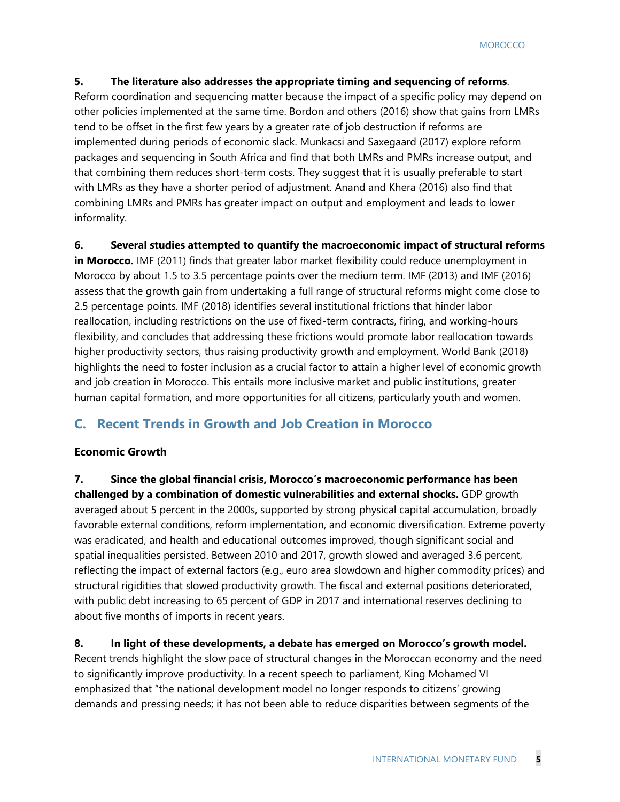#### **5. The literature also addresses the appropriate timing and sequencing of reforms**.

Reform coordination and sequencing matter because the impact of a specific policy may depend on other policies implemented at the same time. Bordon and others (2016) show that gains from LMRs tend to be offset in the first few years by a greater rate of job destruction if reforms are implemented during periods of economic slack. Munkacsi and Saxegaard (2017) explore reform packages and sequencing in South Africa and find that both LMRs and PMRs increase output, and that combining them reduces short-term costs. They suggest that it is usually preferable to start with LMRs as they have a shorter period of adjustment. Anand and Khera (2016) also find that combining LMRs and PMRs has greater impact on output and employment and leads to lower informality.

#### **6. Several studies attempted to quantify the macroeconomic impact of structural reforms**

**in Morocco.** IMF (2011) finds that greater labor market flexibility could reduce unemployment in Morocco by about 1.5 to 3.5 percentage points over the medium term. IMF (2013) and IMF (2016) assess that the growth gain from undertaking a full range of structural reforms might come close to 2.5 percentage points. IMF (2018) identifies several institutional frictions that hinder labor reallocation, including restrictions on the use of fixed-term contracts, firing, and working-hours flexibility, and concludes that addressing these frictions would promote labor reallocation towards higher productivity sectors, thus raising productivity growth and employment. World Bank (2018) highlights the need to foster inclusion as a crucial factor to attain a higher level of economic growth and job creation in Morocco. This entails more inclusive market and public institutions, greater human capital formation, and more opportunities for all citizens, particularly youth and women.

#### **C. Recent Trends in Growth and Job Creation in Morocco**

#### **Economic Growth**

**7. Since the global financial crisis, Morocco's macroeconomic performance has been challenged by a combination of domestic vulnerabilities and external shocks.** GDP growth averaged about 5 percent in the 2000s, supported by strong physical capital accumulation, broadly favorable external conditions, reform implementation, and economic diversification. Extreme poverty was eradicated, and health and educational outcomes improved, though significant social and spatial inequalities persisted. Between 2010 and 2017, growth slowed and averaged 3.6 percent, reflecting the impact of external factors (e.g., euro area slowdown and higher commodity prices) and structural rigidities that slowed productivity growth. The fiscal and external positions deteriorated, with public debt increasing to 65 percent of GDP in 2017 and international reserves declining to about five months of imports in recent years.

#### **8. In light of these developments, a debate has emerged on Morocco's growth model.**

Recent trends highlight the slow pace of structural changes in the Moroccan economy and the need to significantly improve productivity. In a recent speech to parliament, King Mohamed VI emphasized that "the national development model no longer responds to citizens' growing demands and pressing needs; it has not been able to reduce disparities between segments of the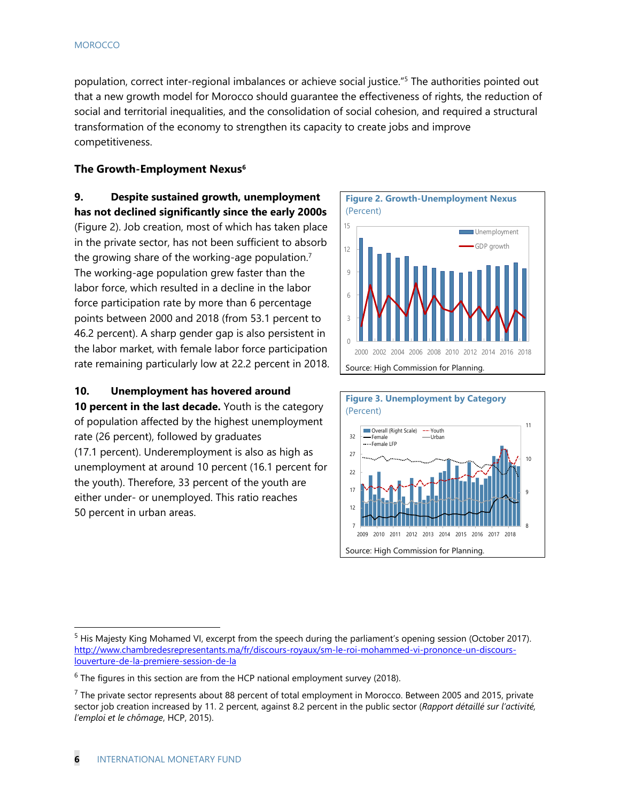population, correct inter-regional imbalances or achieve social justice."<sup>5</sup> The authorities pointed out that a new growth model for Morocco should guarantee the effectiveness of rights, the reduction of social and territorial inequalities, and the consolidation of social cohesion, and required a structural transformation of the economy to strengthen its capacity to create jobs and improve competitiveness.

#### **The Growth-Employment Nexus**<sup>6</sup>

**9. Despite sustained growth, unemployment has not declined significantly since the early 2000s** (Figure 2). Job creation, most of which has taken place in the private sector, has not been sufficient to absorb the growing share of the working-age population.7 The working-age population grew faster than the labor force, which resulted in a decline in the labor force participation rate by more than 6 percentage points between 2000 and 2018 (from 53.1 percent to 46.2 percent). A sharp gender gap is also persistent in the labor market, with female labor force participation rate remaining particularly low at 22.2 percent in 2018.

#### **10. Unemployment has hovered around**

**10 percent in the last decade.** Youth is the category of population affected by the highest unemployment rate (26 percent), followed by graduates (17.1 percent). Underemployment is also as high as unemployment at around 10 percent (16.1 percent for the youth). Therefore, 33 percent of the youth are either under- or unemployed. This ratio reaches 50 percent in urban areas.





<sup>&</sup>lt;sup>5</sup> His Majesty King Mohamed VI, excerpt from the speech during the parliament's opening session (October 2017). http://www.chambredesrepresentants.ma/fr/discours-royaux/sm-le-roi-mohammed-vi-prononce-un-discourslouverture-de-la-premiere-session-de-la

 $6$  The figures in this section are from the HCP national employment survey (2018).

 $<sup>7</sup>$  The private sector represents about 88 percent of total employment in Morocco. Between 2005 and 2015, private</sup> sector job creation increased by 11. 2 percent, against 8.2 percent in the public sector (*Rapport détaillé sur l'activité, l'emploi et le chômage*, HCP, 2015).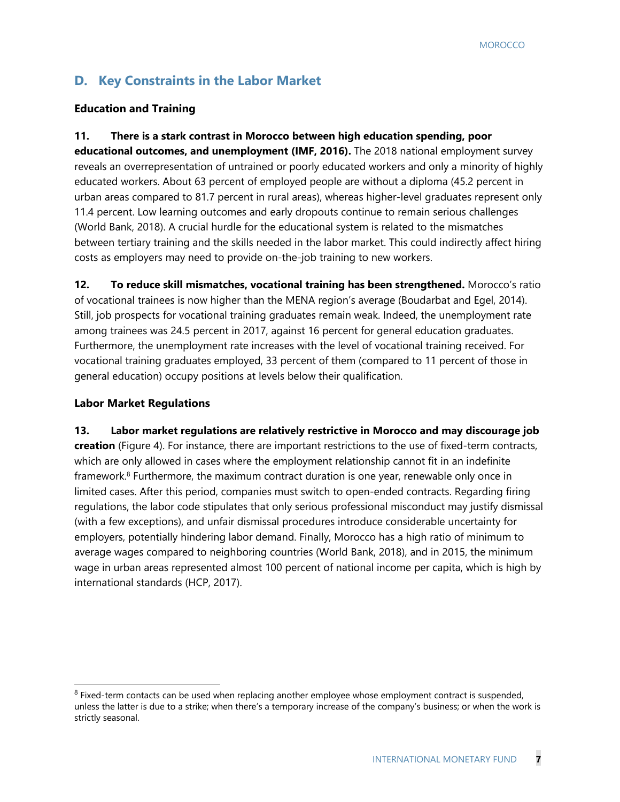## **D. Key Constraints in the Labor Market**

#### **Education and Training**

**11. There is a stark contrast in Morocco between high education spending, poor educational outcomes, and unemployment (IMF, 2016).** The 2018 national employment survey reveals an overrepresentation of untrained or poorly educated workers and only a minority of highly educated workers. About 63 percent of employed people are without a diploma (45.2 percent in urban areas compared to 81.7 percent in rural areas), whereas higher-level graduates represent only 11.4 percent. Low learning outcomes and early dropouts continue to remain serious challenges (World Bank, 2018). A crucial hurdle for the educational system is related to the mismatches between tertiary training and the skills needed in the labor market. This could indirectly affect hiring costs as employers may need to provide on-the-job training to new workers.

**12. To reduce skill mismatches, vocational training has been strengthened.** Morocco's ratio of vocational trainees is now higher than the MENA region's average (Boudarbat and Egel, 2014). Still, job prospects for vocational training graduates remain weak. Indeed, the unemployment rate among trainees was 24.5 percent in 2017, against 16 percent for general education graduates. Furthermore, the unemployment rate increases with the level of vocational training received. For vocational training graduates employed, 33 percent of them (compared to 11 percent of those in general education) occupy positions at levels below their qualification.

#### **Labor Market Regulations**

-

**13. Labor market regulations are relatively restrictive in Morocco and may discourage job creation** (Figure 4). For instance, there are important restrictions to the use of fixed-term contracts, which are only allowed in cases where the employment relationship cannot fit in an indefinite framework.<sup>8</sup> Furthermore, the maximum contract duration is one year, renewable only once in limited cases. After this period, companies must switch to open-ended contracts. Regarding firing regulations, the labor code stipulates that only serious professional misconduct may justify dismissal (with a few exceptions), and unfair dismissal procedures introduce considerable uncertainty for employers, potentially hindering labor demand. Finally, Morocco has a high ratio of minimum to average wages compared to neighboring countries (World Bank, 2018), and in 2015, the minimum wage in urban areas represented almost 100 percent of national income per capita, which is high by international standards (HCP, 2017).

 $8$  Fixed-term contacts can be used when replacing another employee whose employment contract is suspended, unless the latter is due to a strike; when there's a temporary increase of the company's business; or when the work is strictly seasonal.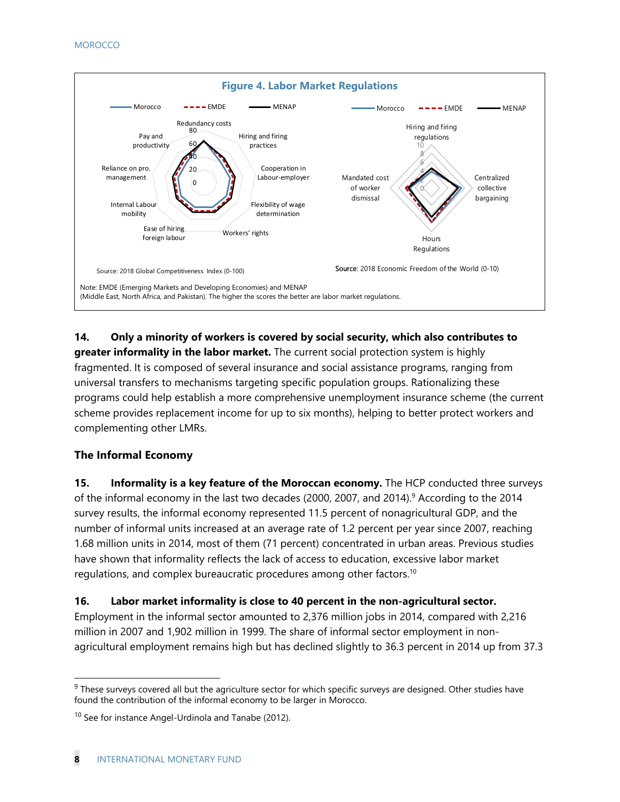

#### **14. Only a minority of workers is covered by social security, which also contributes to greater informality in the labor market.** The current social protection system is highly fragmented. It is composed of several insurance and social assistance programs, ranging from universal transfers to mechanisms targeting specific population groups. Rationalizing these programs could help establish a more comprehensive unemployment insurance scheme (the current scheme provides replacement income for up to six months), helping to better protect workers and complementing other LMRs.

#### **The Informal Economy**

**15. Informality is a key feature of the Moroccan economy.** The HCP conducted three surveys of the informal economy in the last two decades (2000, 2007, and 2014).<sup>9</sup> According to the 2014 survey results, the informal economy represented 11.5 percent of nonagricultural GDP, and the number of informal units increased at an average rate of 1.2 percent per year since 2007, reaching 1.68 million units in 2014, most of them (71 percent) concentrated in urban areas. Previous studies have shown that informality reflects the lack of access to education, excessive labor market regulations, and complex bureaucratic procedures among other factors.10

#### **16. Labor market informality is close to 40 percent in the non-agricultural sector.**

Employment in the informal sector amounted to 2,376 million jobs in 2014, compared with 2,216 million in 2007 and 1,902 million in 1999. The share of informal sector employment in nonagricultural employment remains high but has declined slightly to 36.3 percent in 2014 up from 37.3

 $9$  These surveys covered all but the agriculture sector for which specific surveys are designed. Other studies have found the contribution of the informal economy to be larger in Morocco.

<sup>&</sup>lt;sup>10</sup> See for instance Angel-Urdinola and Tanabe (2012).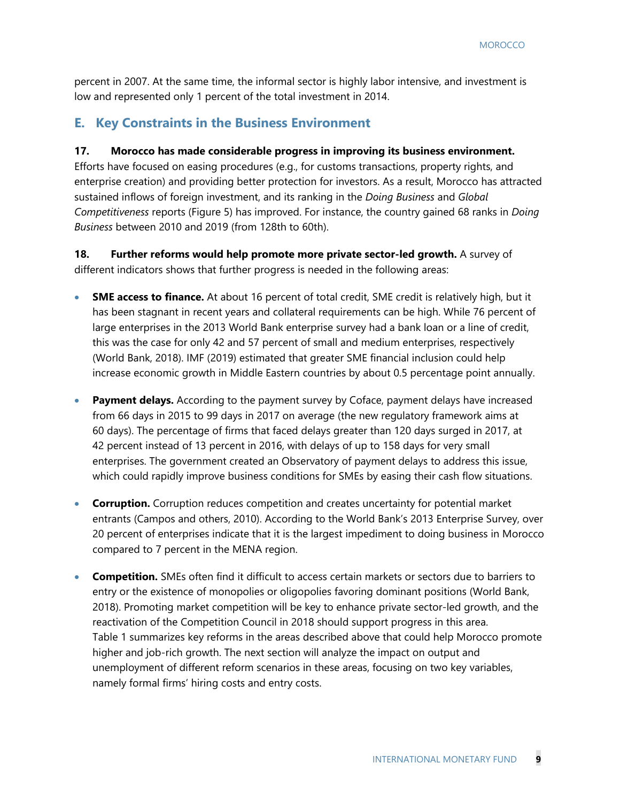percent in 2007. At the same time, the informal sector is highly labor intensive, and investment is low and represented only 1 percent of the total investment in 2014.

#### **E. Key Constraints in the Business Environment**

#### **17. Morocco has made considerable progress in improving its business environment.**

Efforts have focused on easing procedures (e.g., for customs transactions, property rights, and enterprise creation) and providing better protection for investors. As a result, Morocco has attracted sustained inflows of foreign investment, and its ranking in the *Doing Business* and *Global Competitiveness* reports (Figure 5) has improved. For instance, the country gained 68 ranks in *Doing Business* between 2010 and 2019 (from 128th to 60th).

**18. Further reforms would help promote more private sector-led growth.** A survey of different indicators shows that further progress is needed in the following areas:

- **SME access to finance.** At about 16 percent of total credit, SME credit is relatively high, but it has been stagnant in recent years and collateral requirements can be high. While 76 percent of large enterprises in the 2013 World Bank enterprise survey had a bank loan or a line of credit, this was the case for only 42 and 57 percent of small and medium enterprises, respectively (World Bank, 2018). IMF (2019) estimated that greater SME financial inclusion could help increase economic growth in Middle Eastern countries by about 0.5 percentage point annually.
- **Payment delays.** According to the payment survey by Coface, payment delays have increased from 66 days in 2015 to 99 days in 2017 on average (the new regulatory framework aims at 60 days). The percentage of firms that faced delays greater than 120 days surged in 2017, at 42 percent instead of 13 percent in 2016, with delays of up to 158 days for very small enterprises. The government created an Observatory of payment delays to address this issue, which could rapidly improve business conditions for SMEs by easing their cash flow situations.
- **Corruption.** Corruption reduces competition and creates uncertainty for potential market entrants (Campos and others, 2010). According to the World Bank's 2013 Enterprise Survey, over 20 percent of enterprises indicate that it is the largest impediment to doing business in Morocco compared to 7 percent in the MENA region.
- **Competition.** SMEs often find it difficult to access certain markets or sectors due to barriers to entry or the existence of monopolies or oligopolies favoring dominant positions (World Bank, 2018). Promoting market competition will be key to enhance private sector-led growth, and the reactivation of the Competition Council in 2018 should support progress in this area. Table 1 summarizes key reforms in the areas described above that could help Morocco promote higher and job-rich growth. The next section will analyze the impact on output and unemployment of different reform scenarios in these areas, focusing on two key variables, namely formal firms' hiring costs and entry costs.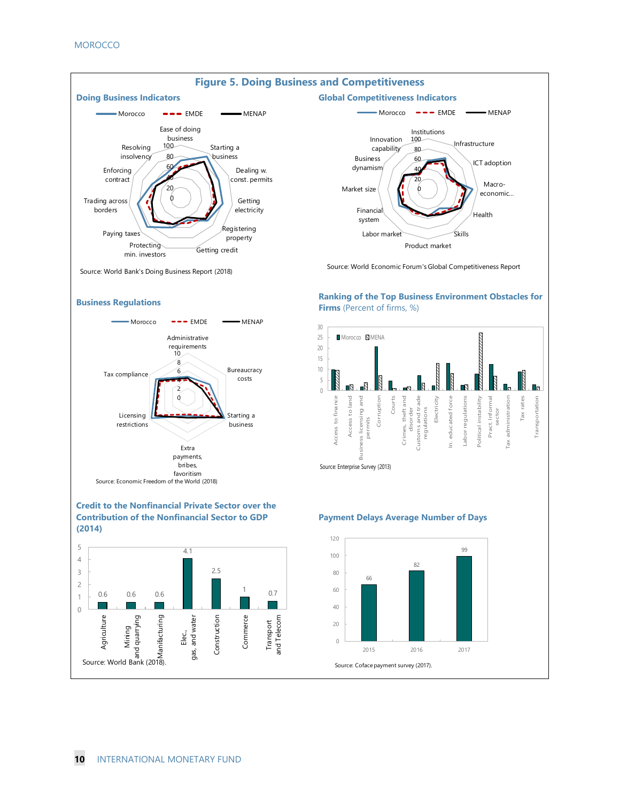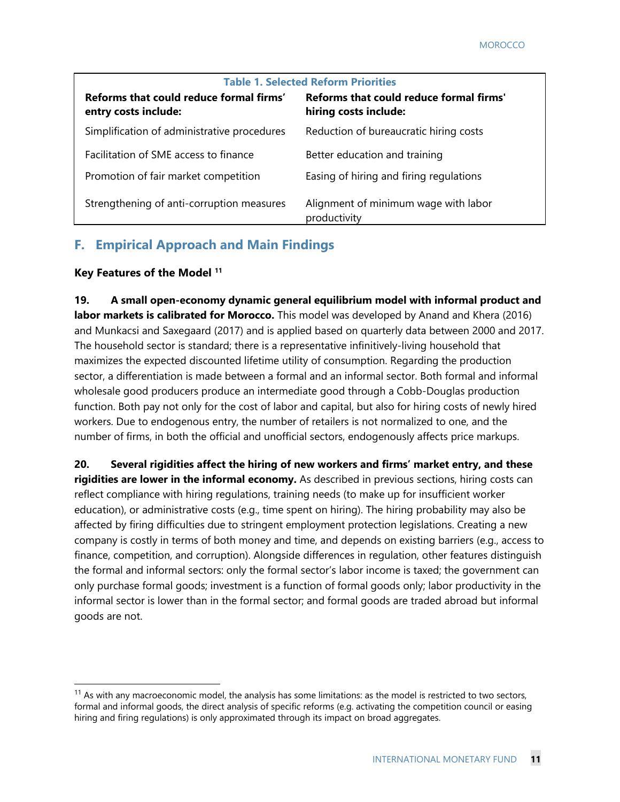| <b>Table 1. Selected Reform Priorities</b>                      |                                                                  |  |  |  |  |
|-----------------------------------------------------------------|------------------------------------------------------------------|--|--|--|--|
| Reforms that could reduce formal firms'<br>entry costs include: | Reforms that could reduce formal firms'<br>hiring costs include: |  |  |  |  |
| Simplification of administrative procedures                     | Reduction of bureaucratic hiring costs                           |  |  |  |  |
| Facilitation of SME access to finance                           | Better education and training                                    |  |  |  |  |
| Promotion of fair market competition                            | Easing of hiring and firing regulations                          |  |  |  |  |
| Strengthening of anti-corruption measures                       | Alignment of minimum wage with labor<br>productivity             |  |  |  |  |

### **F. Empirical Approach and Main Findings**

#### **Key Features of the Model 11**

-

**19. A small open-economy dynamic general equilibrium model with informal product and labor markets is calibrated for Morocco.** This model was developed by Anand and Khera (2016) and Munkacsi and Saxegaard (2017) and is applied based on quarterly data between 2000 and 2017. The household sector is standard; there is a representative infinitively-living household that maximizes the expected discounted lifetime utility of consumption. Regarding the production sector, a differentiation is made between a formal and an informal sector. Both formal and informal wholesale good producers produce an intermediate good through a Cobb-Douglas production function. Both pay not only for the cost of labor and capital, but also for hiring costs of newly hired workers. Due to endogenous entry, the number of retailers is not normalized to one, and the number of firms, in both the official and unofficial sectors, endogenously affects price markups.

**20. Several rigidities affect the hiring of new workers and firms' market entry, and these rigidities are lower in the informal economy.** As described in previous sections, hiring costs can reflect compliance with hiring regulations, training needs (to make up for insufficient worker education), or administrative costs (e.g., time spent on hiring). The hiring probability may also be affected by firing difficulties due to stringent employment protection legislations. Creating a new company is costly in terms of both money and time, and depends on existing barriers (e.g., access to finance, competition, and corruption). Alongside differences in regulation, other features distinguish the formal and informal sectors: only the formal sector's labor income is taxed; the government can only purchase formal goods; investment is a function of formal goods only; labor productivity in the informal sector is lower than in the formal sector; and formal goods are traded abroad but informal goods are not.

 $11$  As with any macroeconomic model, the analysis has some limitations: as the model is restricted to two sectors, formal and informal goods, the direct analysis of specific reforms (e.g. activating the competition council or easing hiring and firing regulations) is only approximated through its impact on broad aggregates.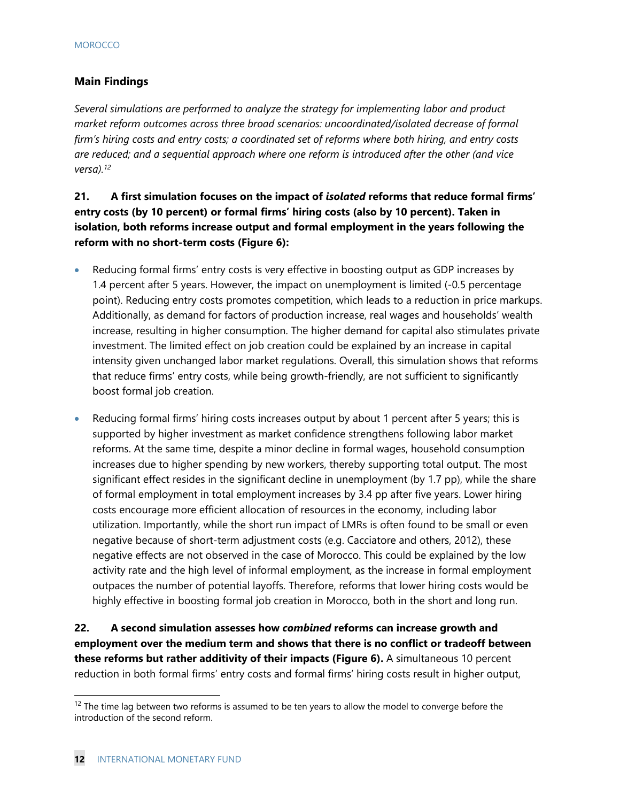#### **Main Findings**

*Several simulations are performed to analyze the strategy for implementing labor and product market reform outcomes across three broad scenarios: uncoordinated/isolated decrease of formal firm's hiring costs and entry costs; a coordinated set of reforms where both hiring, and entry costs are reduced; and a sequential approach where one reform is introduced after the other (and vice versa).12*

**21. A first simulation focuses on the impact of** *isolated* **reforms that reduce formal firms' entry costs (by 10 percent) or formal firms' hiring costs (also by 10 percent). Taken in isolation, both reforms increase output and formal employment in the years following the reform with no short-term costs (Figure 6):** 

- Reducing formal firms' entry costs is very effective in boosting output as GDP increases by 1.4 percent after 5 years. However, the impact on unemployment is limited (-0.5 percentage point). Reducing entry costs promotes competition, which leads to a reduction in price markups. Additionally, as demand for factors of production increase, real wages and households' wealth increase, resulting in higher consumption. The higher demand for capital also stimulates private investment. The limited effect on job creation could be explained by an increase in capital intensity given unchanged labor market regulations. Overall, this simulation shows that reforms that reduce firms' entry costs, while being growth-friendly, are not sufficient to significantly boost formal job creation.
- Reducing formal firms' hiring costs increases output by about 1 percent after 5 years; this is supported by higher investment as market confidence strengthens following labor market reforms. At the same time, despite a minor decline in formal wages, household consumption increases due to higher spending by new workers, thereby supporting total output. The most significant effect resides in the significant decline in unemployment (by 1.7 pp), while the share of formal employment in total employment increases by 3.4 pp after five years. Lower hiring costs encourage more efficient allocation of resources in the economy, including labor utilization. Importantly, while the short run impact of LMRs is often found to be small or even negative because of short-term adjustment costs (e.g. Cacciatore and others, 2012), these negative effects are not observed in the case of Morocco. This could be explained by the low activity rate and the high level of informal employment, as the increase in formal employment outpaces the number of potential layoffs. Therefore, reforms that lower hiring costs would be highly effective in boosting formal job creation in Morocco, both in the short and long run.

**22. A second simulation assesses how** *combined* **reforms can increase growth and employment over the medium term and shows that there is no conflict or tradeoff between these reforms but rather additivity of their impacts (Figure 6).** A simultaneous 10 percent reduction in both formal firms' entry costs and formal firms' hiring costs result in higher output,

 $12$  The time lag between two reforms is assumed to be ten years to allow the model to converge before the introduction of the second reform.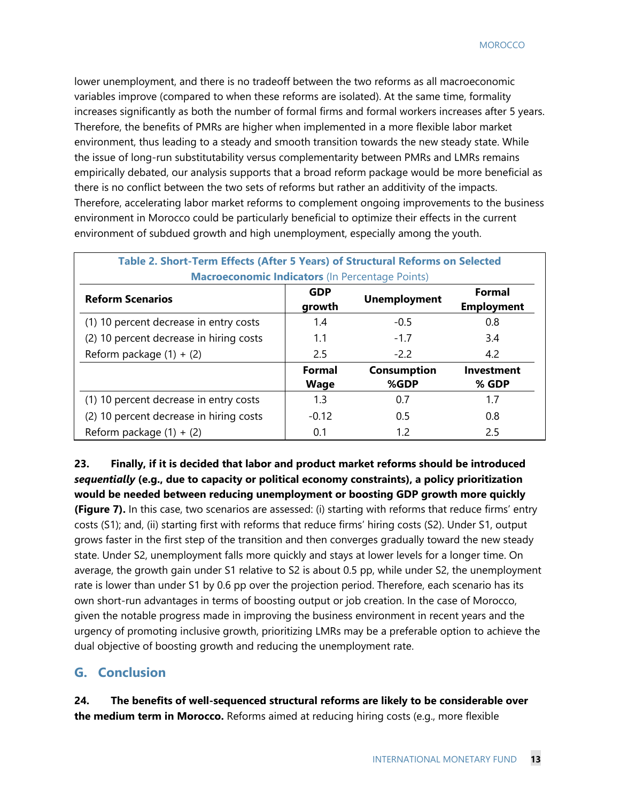lower unemployment, and there is no tradeoff between the two reforms as all macroeconomic variables improve (compared to when these reforms are isolated). At the same time, formality increases significantly as both the number of formal firms and formal workers increases after 5 years. Therefore, the benefits of PMRs are higher when implemented in a more flexible labor market environment, thus leading to a steady and smooth transition towards the new steady state. While the issue of long-run substitutability versus complementarity between PMRs and LMRs remains empirically debated, our analysis supports that a broad reform package would be more beneficial as there is no conflict between the two sets of reforms but rather an additivity of the impacts. Therefore, accelerating labor market reforms to complement ongoing improvements to the business environment in Morocco could be particularly beneficial to optimize their effects in the current environment of subdued growth and high unemployment, especially among the youth.

| Table 2. Short-Term Effects (After 5 Years) of Structural Reforms on Selected |                      |                     |                                    |  |
|-------------------------------------------------------------------------------|----------------------|---------------------|------------------------------------|--|
| <b>Macroeconomic Indicators (In Percentage Points)</b>                        |                      |                     |                                    |  |
| <b>Reform Scenarios</b>                                                       | <b>GDP</b><br>growth | <b>Unemployment</b> | <b>Formal</b><br><b>Employment</b> |  |
| (1) 10 percent decrease in entry costs                                        | 1.4                  | $-0.5$              | 0.8                                |  |
| (2) 10 percent decrease in hiring costs                                       | 1.1                  | $-1.7$              | 3.4                                |  |
| Reform package $(1) + (2)$                                                    | 2.5                  | $-2.2$              | 4.2                                |  |
|                                                                               | <b>Formal</b>        | <b>Consumption</b>  | <b>Investment</b>                  |  |
|                                                                               | Wage                 | %GDP                | % GDP                              |  |
| (1) 10 percent decrease in entry costs                                        | 1.3                  | 0.7                 | 1.7                                |  |
| (2) 10 percent decrease in hiring costs                                       | $-0.12$              | 0.5                 | 0.8                                |  |
| Reform package $(1) + (2)$                                                    | 0.1                  | 1.2                 | 2.5                                |  |

**23. Finally, if it is decided that labor and product market reforms should be introduced**  *sequentially* **(e.g., due to capacity or political economy constraints), a policy prioritization would be needed between reducing unemployment or boosting GDP growth more quickly (Figure 7).** In this case, two scenarios are assessed: (i) starting with reforms that reduce firms' entry costs (S1); and, (ii) starting first with reforms that reduce firms' hiring costs (S2). Under S1, output grows faster in the first step of the transition and then converges gradually toward the new steady state. Under S2, unemployment falls more quickly and stays at lower levels for a longer time. On average, the growth gain under S1 relative to S2 is about 0.5 pp, while under S2, the unemployment rate is lower than under S1 by 0.6 pp over the projection period. Therefore, each scenario has its own short-run advantages in terms of boosting output or job creation. In the case of Morocco, given the notable progress made in improving the business environment in recent years and the urgency of promoting inclusive growth, prioritizing LMRs may be a preferable option to achieve the dual objective of boosting growth and reducing the unemployment rate.

#### **G. Conclusion**

**24. The benefits of well-sequenced structural reforms are likely to be considerable over the medium term in Morocco.** Reforms aimed at reducing hiring costs (e.g., more flexible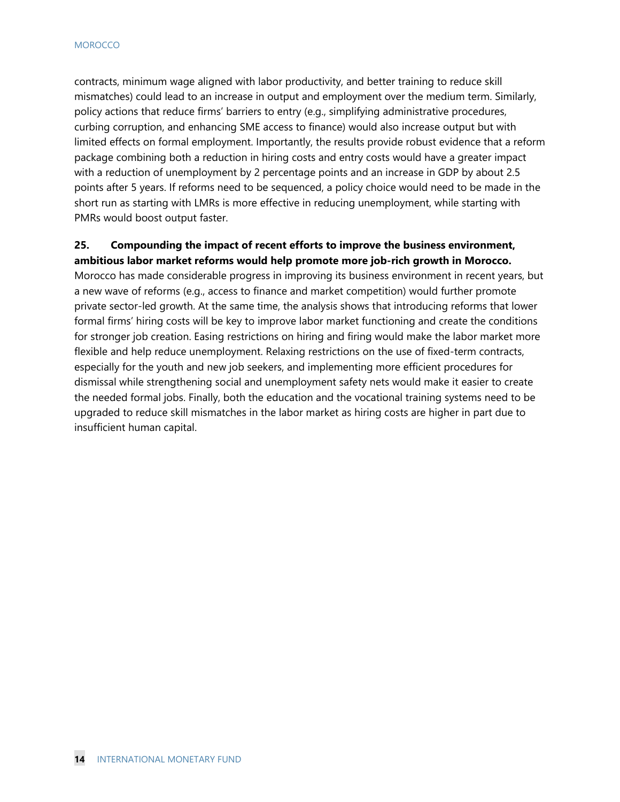contracts, minimum wage aligned with labor productivity, and better training to reduce skill mismatches) could lead to an increase in output and employment over the medium term. Similarly, policy actions that reduce firms' barriers to entry (e.g., simplifying administrative procedures, curbing corruption, and enhancing SME access to finance) would also increase output but with limited effects on formal employment. Importantly, the results provide robust evidence that a reform package combining both a reduction in hiring costs and entry costs would have a greater impact with a reduction of unemployment by 2 percentage points and an increase in GDP by about 2.5 points after 5 years. If reforms need to be sequenced, a policy choice would need to be made in the short run as starting with LMRs is more effective in reducing unemployment, while starting with PMRs would boost output faster.

#### **25. Compounding the impact of recent efforts to improve the business environment, ambitious labor market reforms would help promote more job-rich growth in Morocco.**

Morocco has made considerable progress in improving its business environment in recent years, but a new wave of reforms (e.g., access to finance and market competition) would further promote private sector-led growth. At the same time, the analysis shows that introducing reforms that lower formal firms' hiring costs will be key to improve labor market functioning and create the conditions for stronger job creation. Easing restrictions on hiring and firing would make the labor market more flexible and help reduce unemployment. Relaxing restrictions on the use of fixed-term contracts, especially for the youth and new job seekers, and implementing more efficient procedures for dismissal while strengthening social and unemployment safety nets would make it easier to create the needed formal jobs. Finally, both the education and the vocational training systems need to be upgraded to reduce skill mismatches in the labor market as hiring costs are higher in part due to insufficient human capital.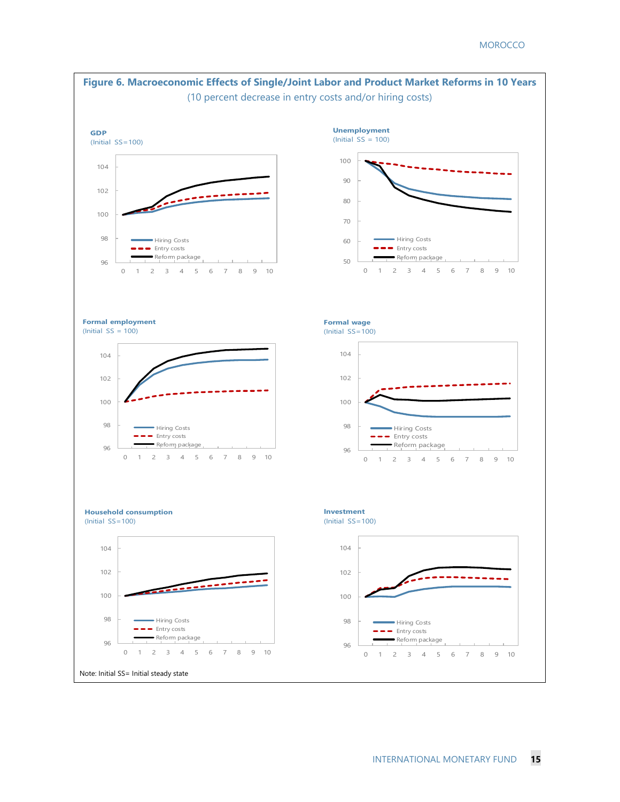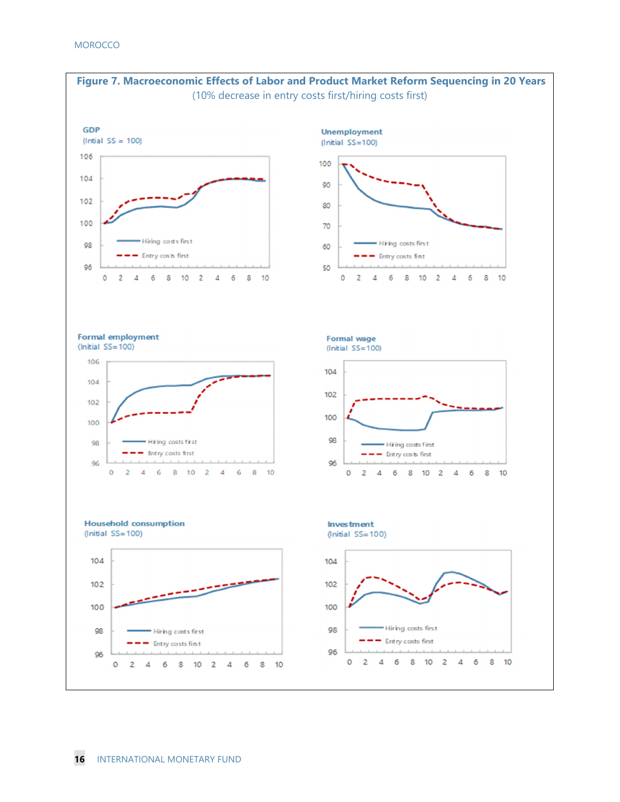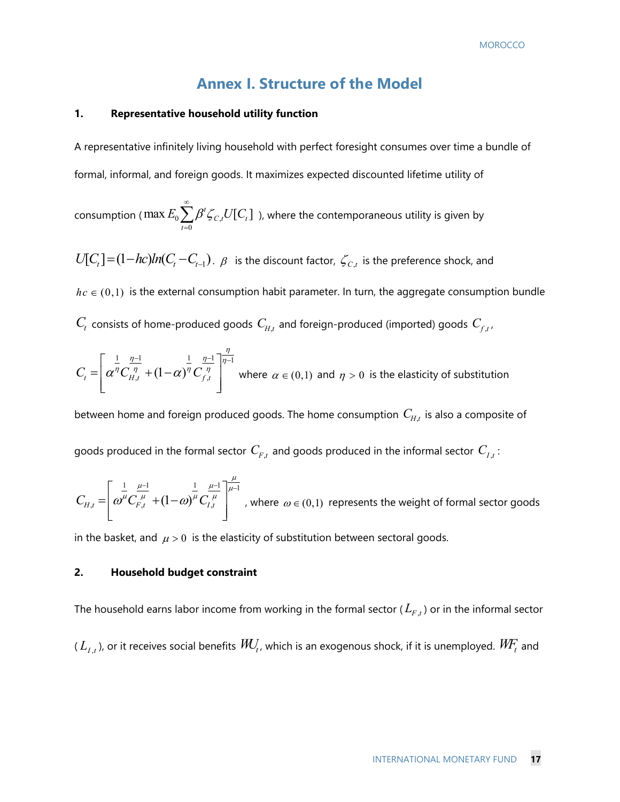#### **Annex I. Structure of the Model**

#### **1. Representative household utility function**

A representative infinitely living household with perfect foresight consumes over time a bundle of formal, informal, and foreign goods. It maximizes expected discounted lifetime utility of

consumption (  $\max E_{\rm 0}\sum \beta' \zeta_{C,\rm 0}$ 0  $\max E_0 \sum \beta^t \zeta_{C,t} U[C_t]$ *t*  $E_{0} \sum \beta^{t} \zeta_{C} U[C]$  $\infty$  $\sum_{t=0}\!\beta^t \zeta_{\mathrm{C},t} U\! \left[\!\!\left[ C_t\right]\!\!\right]$  ), where the contemporaneous utility is given by

 $U[C_t] = (1 - hc)ln(C_t - C_{t-1})$ .  $\beta$  is the discount factor,  $\zeta_{C,t}$  is the preference shock, and  $hc \in (0,1)$  is the external consumption habit parameter. In turn, the aggregate consumption bundle

 $C_t$  consists of home-produced goods  $C_{H,t}$  and foreign-produced (imported) goods  $C_{f,t}$ ,

$$
C_{t} = \left[\alpha^{\frac{1}{\eta}} C_{H,t}^{\frac{\eta-1}{\eta}} + (1-\alpha)^{\frac{1}{\eta}} C_{f,t}^{\frac{\eta-1}{\eta}}\right]^{\frac{\eta}{\eta-1}}
$$
 where  $\alpha \in (0,1)$  and  $\eta > 0$  is the elasticity of substitution

between home and foreign produced goods. The home consumption  $\textit{C}_{H, t}$  is also a composite of goods produced in the formal sector  $C_{F,t}$  and goods produced in the informal sector  $C_{I,t}$ :

$$
C_{H,t} = \left[ \omega^{\frac{1}{\mu}} C_{F,t}^{\frac{\mu-1}{\mu}} + (1-\omega)^{\frac{1}{\mu}} C_{I,t}^{\frac{\mu-1}{\mu}} \right]_{t=1}^{\frac{\mu}{\mu-1}},
$$
 where  $\omega \in (0,1)$  represents the weight of formal sector goods

in the basket, and  $\mu > 0$  is the elasticity of substitution between sectoral goods.

#### **2. Household budget constraint**

The household earns labor income from working in the formal sector ( $L_{F,t}$ ) or in the informal sector  $(L_{I,t})$ , or it receives social benefits  $\mathit{WU}_t$ , which is an exogenous shock, if it is unemployed.  $\mathit{W\!F}_t$  and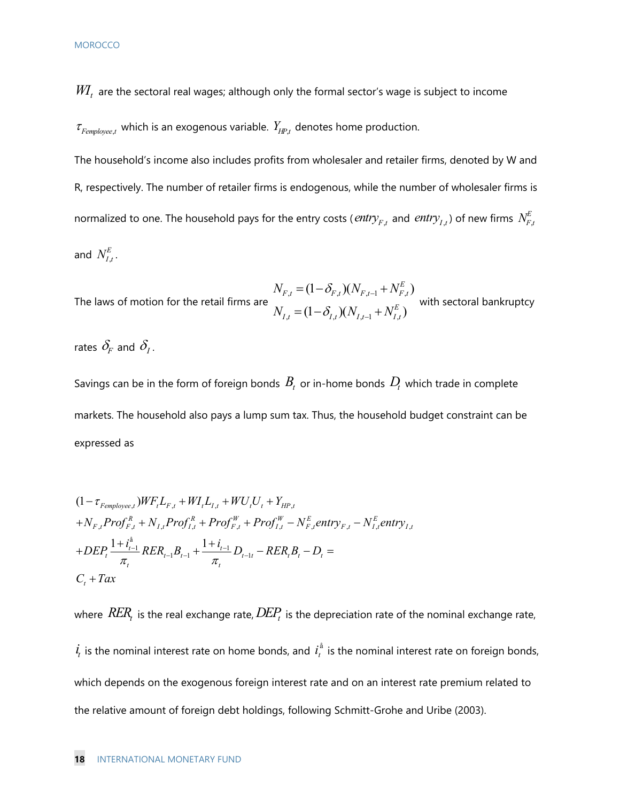$\emph{WI}_{t}$  are the sectoral real wages; although only the formal sector's wage is subject to income

 $\tau_{\text{Femployee},t}$  which is an exogenous variable.  $Y_{\text{HP},t}$  denotes home production.

The household's income also includes profits from wholesaler and retailer firms, denoted by W and R, respectively. The number of retailer firms is endogenous, while the number of wholesaler firms is normalized to one. The household pays for the entry costs (  $\mathit{entry}_{F,t}$  and  $\mathit{entry}_{I,t}$  ) of new firms  $\,N_{F,t}^E$ and  $N_{I,t}^E$  .

The laws of motion for the retail firms are  $\frac{1}{2}$ ,  $\frac{1}{2}$ ,  $\frac{1}{2}$ ,  $\frac{1}{2}$ ,  $\frac{1}{2}$ ,  $\frac{1}{2}$ ,  $\frac{1}{2}$ ,  $\frac{1}{2}$ ,  $\frac{1}{2}$ ,  $\frac{1}{2}$ ,  $\frac{1}{2}$ ,  $\frac{1}{2}$ ,  $\frac{1}{2}$ ,  $\frac{1}{2}$ ,  $\frac{1}{2}$ ,  $\frac{1}{2}$ ,  $_{t}$   $-\left(1 \quad O_{I,t}/\sqrt{1}V_{I,t-1} + IV_{I,t}\right)$  $(1 - \delta_{F} ) (N_{F,t-1} + N_{F,t}^E)$  $(1 - \delta_{t}) (N_{t+1} + N_{t}^E)$ *E*  $F_{,t} = (1 \quad O_{F,t}) (1 \cdot V_{F,t-1} + 1 \cdot V_{F,t})$ *E*  $I_{J,t} = (I - O_{I,t}) (I V_{I,t-1} + IV_{I,t})$  $N_{F,t} = (1 - \delta_{F,t})(N_{F,t-1} + N)$  $N_{i,t} = (1 - \delta_{i,t})(N_{i,t-1} + N)$  $\delta$  $\delta$  $\overline{a}$  $\overline{a}$  $=(1-\delta_{F_t})(N_{F_{t-1}}+$  $=(1-\delta_{i,t})(N_{i,t-1}+N_{i,t}^E)$  with sectoral bankruptcy

rates  $\delta_F$  and  $\delta_I$ .

Savings can be in the form of foreign bonds  $B_t$  or in-home bonds  $D_t$  which trade in complete markets. The household also pays a lump sum tax. Thus, the household budget constraint can be expressed as

$$
(1 - \tau_{Femployee,t})WF_{t}L_{F,t} + WI_{t}L_{I,t} + WU_{t}U_{t} + Y_{HP,t}
$$
  
+ $N_{F,t}Prof_{F,t}^{R} + N_{I,t} Prof_{I,t}^{R} + Prof_{F,t}^{W} + Prof_{I,t}^{W} - N_{F,t}^{E} entry_{F,t} - N_{I,t}^{E} entry_{I,t}$   
+ $DEP_{t} \frac{1 + i_{t-1}^{A}}{\pi_{t}} RER_{t-1}B_{t-1} + \frac{1 + i_{t-1}}{\pi_{t}} D_{t-1t} - RER_{t}B_{t} - D_{t} =$   
 $C_{t} + Tax$ 

where  $RER_t$  is the real exchange rate,  $DEP_t$  is the depreciation rate of the nominal exchange rate,  $\dot{I}_t$  is the nominal interest rate on home bonds, and  $\,l_t^{\textrm{\,a}}\,$  is the nominal interest rate on foreign bonds, which depends on the exogenous foreign interest rate and on an interest rate premium related to the relative amount of foreign debt holdings, following Schmitt-Grohe and Uribe (2003).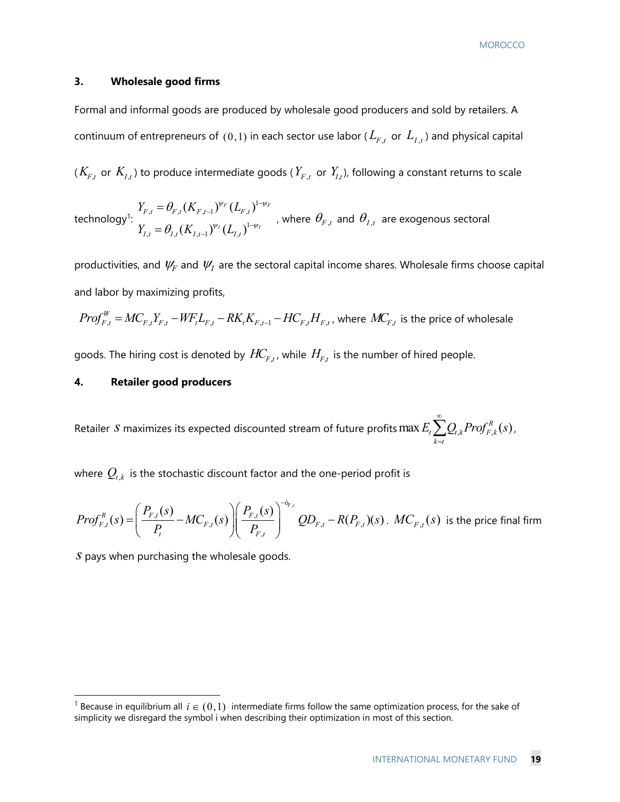#### **3. Wholesale good firms**

Formal and informal goods are produced by wholesale good producers and sold by retailers. A continuum of entrepreneurs of  $(0,1)$  in each sector use labor ( $L_{F,t}$  or  $L_{I,t}$ ) and physical capital

 $(K_{F,t}$  or  $K_{I,t}$ ) to produce intermediate goods ( $Y_{F,t}$  or  $Y_{I,t}$ ), following a constant returns to scale

technology<sup>1</sup>: 1  $_{t} - \mathbf{v}_{F,t}$  ( $\mathbf{v}_{F,t-1}$ )  $\mathbf{v}_{F,t}$ 1  $_{t} - \mathcal{O}_{I,t}(\mathbf{R}_{I,t-1})$   $_{t} - \mathcal{O}_{I,t}$  $(K_{{}_{F\,t-1}})^{\psi_F}(L_{{}_{F\,t}})$  $(K_{t_{l-1}})^{\psi_{l}}(L_{t_{l}})$  $F \left( I - \mathcal{V}^{1-\psi} F \right)$  $I \cap I = \mathcal{V}^{1-\psi}I$  $F_{t} = \mathbf{V}_{F,t} \left( \mathbf{V}_{F,t-1} \right)$   $\mathbf{V}_{F,t}$  $I_{I} = U_{I,t} (I \cdot I_{I,t-1}) U_{I,t}$  $Y_{F,t} = \theta_{F,t} (K_{F,t-1})^{\psi_F} (L)$  $Y_{l,t} = \theta_{l,t} (K_{l,t-1})^{\psi_l} (L)$  $\psi_F$  (  $I$  )  $1-\psi$  $\Psi_I \wedge I \longrightarrow^{I-\psi}$  $\theta$  $\theta$  $\overline{\phantom{0}}$ - $\overline{\phantom{0}}$ - $=$  $=\theta_{I,t}(K_{I,t-1})^{\psi_I}(L_{I,t})^{1-\psi_I}$ , where  $\theta_{F,t}$  and  $\theta_{I,t}$  are exogenous sectoral

productivities, and  $\psi_F$  and  $\psi_I$  are the sectoral capital income shares. Wholesale firms choose capital and labor by maximizing profits,

$$
Prof_{F,t}^W = MC_{F,t}Y_{F,t} - WF_t L_{F,t} - RK_t K_{F,t-1} - HC_{F,t} H_{F,t}
$$
, where  $MC_{F,t}$  is the price of whole  
side

goods. The hiring cost is denoted by  $HC_{F,t}$ , while  $H_{F,t}$  is the number of hired people.

#### **4. Retailer good producers**

Retailer  $S$  maximizes its expected discounted stream of future profits  $\max E_{_t}{\sum}Q_{_{t,k}}Prof_{F,k}^{_R}(s)$ t  $\sum_{t} \mathcal{L}_{t,k}$ <sup>t</sup> *r*  $\cup_{F,k}$  $k = t$  $E_{\rm t}$ ,  $\sum_{k} Q_{\rm t,k}$ Prof $_{F~k}^R$ (s ∞  $\sum_{k=t} Q_{t,k}$ Prof $_{F,k}^R(s)$ ,

where  $Q_{t,k}$  is the stochastic discount factor and the one-period profit is

$$
Prof_{F,t}^{R}(s) = \left(\frac{P_{F,t}(s)}{P_{t}} - MC_{F,t}(s)\right) \left(\frac{P_{F,t}(s)}{P_{F,t}}\right)^{-\delta_{F,t}} QD_{F,t} - R(P_{F,t})(s) \text{ . } MC_{F,t}(s) \text{ is the price final firm}
$$

*s* pays when purchasing the wholesale goods.

<sup>&</sup>lt;sup>1</sup> Because in equilibrium all  $i \in (0,1)$  intermediate firms follow the same optimization process, for the sake of simplicity we disregard the symbol i when describing their optimization in most of this section.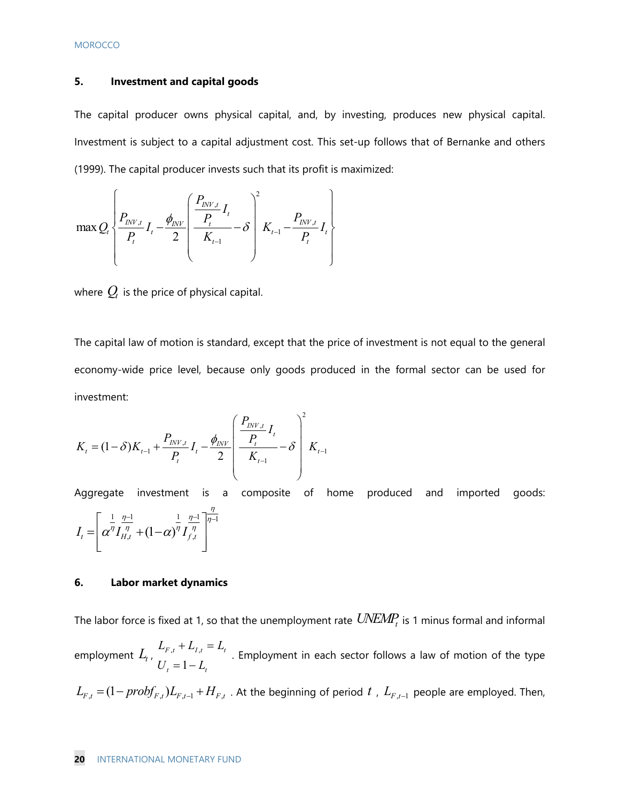#### **5. Investment and capital goods**

The capital producer owns physical capital, and, by investing, produces new physical capital. Investment is subject to a capital adjustment cost. This set-up follows that of Bernanke and others (1999). The capital producer invests such that its profit is maximized:

$$
\max Q_t \left\{ \frac{P_{INV,t}}{P_t} I_t - \frac{\phi_{INV}}{2} \left( \frac{P_{INV,t}}{P_{t-1}} - \delta \right)^2 K_{t-1} - \frac{P_{INV,t}}{P_t} I_t \right\}
$$

where  $Q_t$  is the price of physical capital.

The capital law of motion is standard, except that the price of investment is not equal to the general economy-wide price level, because only goods produced in the formal sector can be used for investment:

$$
K_{t} = (1 - \delta)K_{t-1} + \frac{P_{INV,t}}{P_{t}}I_{t} - \frac{\phi_{INV}}{2} \left(\frac{\frac{P_{INV,t}}{P_{t}}}{K_{t-1}} - \delta\right)^{2} K_{t-1}
$$

Aggregate investment is a composite of home produced and imported goods:  $\frac{1}{1} \frac{\eta-1}{\eta-1}$  $I_t = \left( \alpha^\eta I_{H,t}^{\ \eta} + (1-\alpha)^\eta I_{f,t}^{\ \eta} \right)$ η  $\frac{\eta-1}{\eta}$   $\frac{1}{\eta-1}$   $\eta$  $\alpha^{\eta}L_{\nu}^{\eta} + (1-\alpha)^{\eta}L_{\nu}^{\eta}$  $\left[\begin{array}{cc} \frac{1}{\sqrt{2}} & \frac{\eta-1}{\sqrt{2}} \\ \frac{1}{\sqrt{2}} & \frac{1}{\sqrt{2}} & \frac{\eta-1}{\sqrt{2}} \end{array}\right]$  $=\left[ \alpha^\eta I_{H,t}^{~~\eta} + (1-\alpha)^\eta I_{f,t}^{~~\eta} \ \ \right]$ 

#### **6. Labor market dynamics**

The labor force is fixed at 1, so that the unemployment rate  $\mathit{UNEMP}_t$  is 1 minus formal and informal  $\epsilon$  employment  $L_t$ ,  $\frac{L_{F,t} + L_I}{U_t = 1 - L_I}$  $F_{,t}$  *L*<sub> $I_{,t}$ </sub> *– L*<sub> $t$ </sub>  $\mathbf{u}_t$  **t**  $\mathbf{u}_t$  $L_{F,t} + L_{L,t} = L$  $U_t = 1 - L$  $+L_{t,t} =$  $\mu$   $\mu$   $\mu$   $\mu$   $\tau$  . Employment in each sector follows a law of motion of the type  $\mu$  = 1 -  $L$ ,  $L_{F,t} = (1 - probf_{F,t})L_{F,t-1} + H_{F,t}$ . At the beginning of period  $t$  ,  $L_{F,t-1}$  people are employed. Then,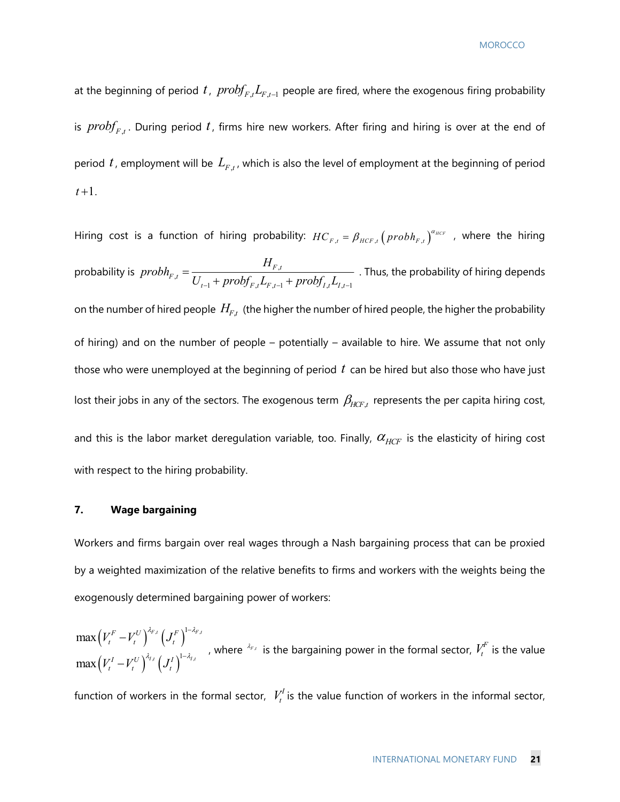at the beginning of period *t*,  $prob_{F,t} L_{F,t-1}$  people are fired, where the exogenous firing probability is  ${\it probf}_{F,t}$ . During period t, firms hire new workers. After firing and hiring is over at the end of period  $t$ , employment will be  $L_{F,t}$ , which is also the level of employment at the beginning of period  $t+1$ .

Hiring cost is a function of hiring probability:  $HC_{F,t} = \beta_{HCF,t} (prob h_{F,t})^{\alpha_{HCF}}$  , where the hiring probability is  $prob_{F,t} = \frac{H_{F,t}}{H_{F,t}}$ 1 , ,1 , ,1 *F t F t*  $_{t-1}$  *F<sub>t</sub>*  $\omega$   $F_{,t}$   $\omega$ <sub> $F_{,t-1}$ </sub> *P<sub>I</sub>*  $\omega$ <sub> $I_{,t}$ </sub> $\omega$ <sub> $I_{,t}$ </sub> *H*  $prob_{F,t} = \frac{P_{F,t}}{U_{t-1} + prob f_{F,t} L_{F,t-1} + prob f_{I,t} L_{I,t-1}}$ . Thus, the probability of hiring depends on the number of hired people  $H_{F,t}$  (the higher the number of hired people, the higher the probability of hiring) and on the number of people – potentially – available to hire. We assume that not only those who were unemployed at the beginning of period *t* can be hired but also those who have just lost their jobs in any of the sectors. The exogenous term  $\beta_{HCF,t}$  represents the per capita hiring cost, and this is the labor market deregulation variable, too. Finally,  $\alpha_{HCF}$  is the elasticity of hiring cost with respect to the hiring probability.

#### **7. Wage bargaining**

Workers and firms bargain over real wages through a Nash bargaining process that can be proxied by a weighted maximization of the relative benefits to firms and workers with the weights being the exogenously determined bargaining power of workers:

 $(V_t^r - V_t^o)^{-r}$ ,  $(J_t^r)$  $(V_t^{\scriptscriptstyle I} - V_t^{\scriptscriptstyle O})$   $\cdot$   $(J_t^{\scriptscriptstyle I})$  $f \left( \mathbf{r} F \right)$ <sup>1- $\Lambda$ </sup>F,  $, f \in \mathcal{I}$  )  $1^{-\lambda}I$ , 1 1 max max  $F f \left( \mathbf{r} F \right)^{1-\lambda} F f$ *I*,*t*  $\int$   $\mathbf{I}$   $\int$   $\int$   $1-\lambda$ <sub>*I,t*</sub>  $F = I \mathcal{F}^U \bigl( \bigl( \bigl( \mathcal{F}^F \mathcal{F}^I \bigr) - \mathcal{F}^F \mathcal{F}^I \bigr) \bigr)$  $t$   $\left\{ \begin{array}{c} t \\ t \end{array} \right\}$   $\left\{ \begin{array}{c} \mathbf{0} \\ t \end{array} \right\}$ *I*  $I^U$ <sup> $\bigwedge^{A_{I,t}}$   $\bigcap$   $I^I$ </sup> *t*  $\left\{ \begin{array}{c} t \\ t \end{array} \right\}$   $\left\{ \begin{array}{c} \mathbf{0} \\ t \end{array} \right\}$  $V_t^F-V_t^U\big)^{\alpha_{F,t}}$  ( J  $V_t^I - V_t^U \big)^{\gamma_{I,t}} \big( J$  $\lambda_{\rm E}$ ,  $\lambda_{\rm E}$ ,  $1-\lambda_{\rm E}$  $\lambda_{i}$ ,  $\lambda_{i}$   $\lambda_{i}$ -- $\overline{a}$  $\overline{a}$ , where  $\lambda_{F,t}$  is the bargaining power in the formal sector,  $V_t^F$  is the value

function of workers in the formal sector,  $V_t^I$  is the value function of workers in the informal sector,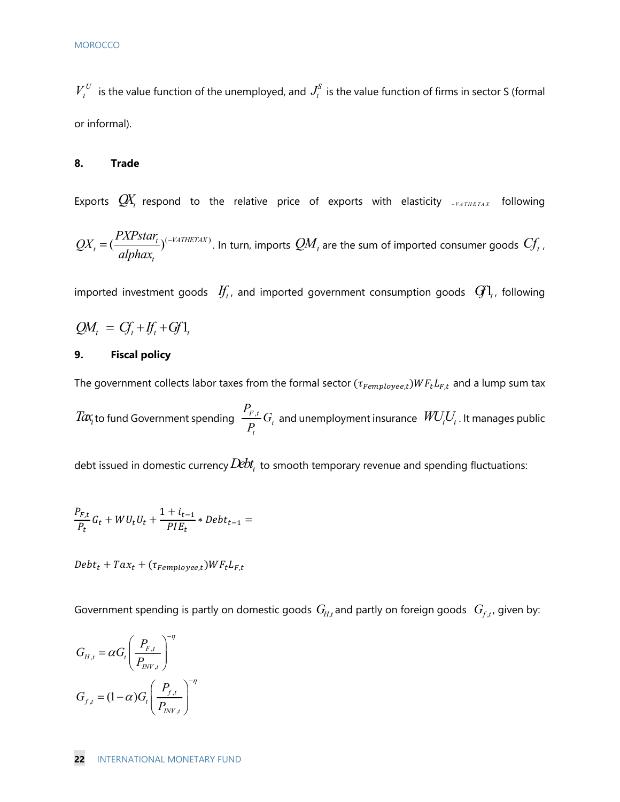$V_t^U$  is the value function of the unemployed, and  $J_t^S$  is the value function of firms in sector S (formal or informal).

#### **8. Trade**

Exports  $\mathcal{Q}Y_t$  respond to the relative price of exports with elasticity  $\mathcal{Q}Y_t$  *aTHETAX* following  $\tau_t = \left(\frac{I \Delta I \, \textit{slut}_t}{\textit{slub}_t}\right)^{(-VATHETAX)}$  $QX_t = (\frac{PXPstar_t}{alpha_{t}})^{(-VATHETAX)}$ . In turn, imports  $QM_t$  are the sum of imported consumer goods  $C\!f_t$  ,

imported investment goods  $\mathcal{H}_t$ , and imported government consumption goods  $\mathcal{G}_t$ , following

$$
QM_t = C_t + I_t + G_t^T
$$

#### **9. Fiscal policy**

The government collects labor taxes from the formal sector  $(\tau_{Femplove,t})WF_tL_{F,t}$  and a lump sum tax

 $Tax_i$ to fund Government spending  $\frac{F_{F,t}}{B}G_t$ *t P*  $\frac{F_{,t}}{P_{t}}G_{t}$  and unemployment insurance  $\mathit{WU}_{t}U_{t}$  . It manages public

debt issued in domestic currency  $Debt_t$  to smooth temporary revenue and spending fluctuations:

$$
\frac{P_{F,t}}{P_t}G_t + W U_t U_t + \frac{1+i_{t-1}}{PIE_t} * Debt_{t-1} =
$$

 $Debt_t + Tax_t + (\tau_{Femployee,t})WF_tL_{F,t}$ 

Government spending is partly on domestic goods  $G_{H,t}$  and partly on foreign goods  $G_{f,t}$ , given by:

$$
G_{H,t} = \alpha G_t \left(\frac{P_{F,t}}{P_{INV,t}}\right)^{-\eta}
$$

$$
G_{f,t} = (1-\alpha)G_t \left(\frac{P_{f,t}}{P_{INV,t}}\right)^{-\eta}
$$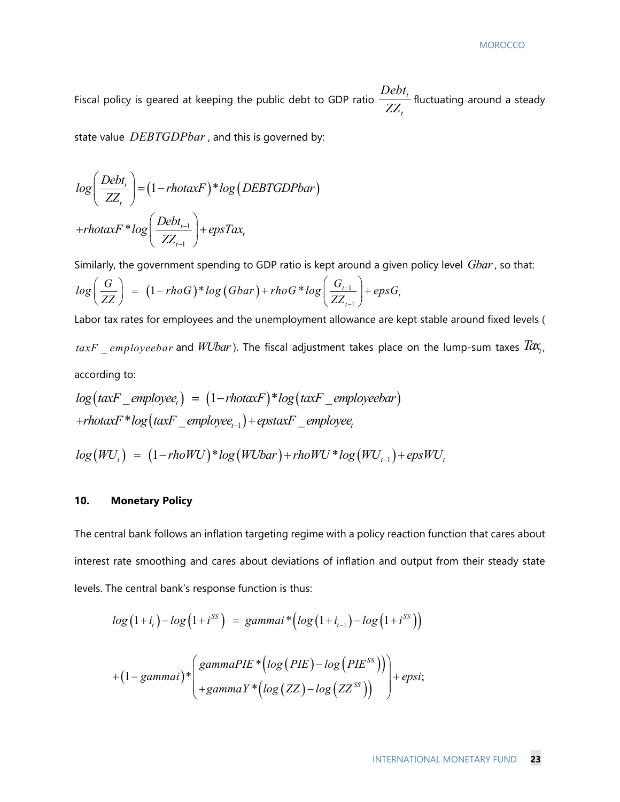Fiscal policy is geared at keeping the public debt to GDP ratio  $\frac{De_{0t}}{77}$ *t Debt*  $\overline{ZZ}$  fluctuating around a steady

state value *DEBTGDPbar* , and this is governed by:

$$
log\left(\frac{Debt_{t}}{ZZ_{t}}\right) = (1 - rhotaxF)^*log(DEBTGDPbar)
$$

$$
+rhotaxF * log\left(\frac{Debt_{t-1}}{ZZ_{t-1}}\right) + epsTax_{t}
$$

Similarly, the government spending to GDP ratio is kept around a given policy level *Gbar*, so that:

$$
log\left(\frac{G}{ZZ}\right) = (1 - rhoG)*log(Gbar) + rhoG*log\left(\frac{G_{t-1}}{ZZ_{t-1}}\right) + epsG_t
$$

Labor tax rates for employees and the unemployment allowance are kept stable around fixed levels (  $\textit{taxF\_employeebar}$  and *WUbar*). The fiscal adjustment takes place on the lump-sum taxes  $\textit{Tax}_t$ , according to:

$$
log(taxF_{\text{emptyee}_t}) = (1 - \text{rhotaxF}) * log(taxF_{\text{emptyee}_t})
$$
  
+
$$
rhotaxF * log(taxF_{\text{emptyee}_{t-1}}) + eptaxF_{\text{emptyee}_t}
$$

$$
log(WU_t) = (1 - rhoWU)^* log(WUbar) + rhoWU^* log(WU_{t-1}) + expWU_t
$$

#### **10. Monetary Policy**

The central bank follows an inflation targeting regime with a policy reaction function that cares about interest rate smoothing and cares about deviations of inflation and output from their steady state levels. The central bank's response function is thus:

$$
log (1+it)-log (1+iSS) = gamma* (log (1+it-1)-log (1+iSS))
$$

$$
+(1-gamma)* { gammaPE * (log (PIE) - log (PIESS)) + epsi;+gamma Y * (log (ZZ) - log (ZZSS)) }
$$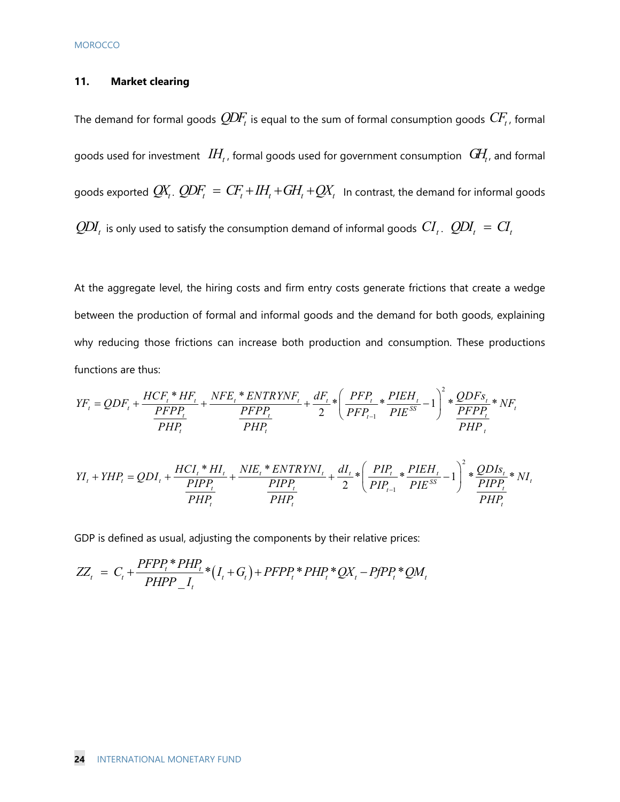#### **11. Market clearing**

The demand for formal goods  $Q\!D\!F_t$  is equal to the sum of formal consumption goods  $C\!F_t$ , formal goods used for investment  $\mathit{IH}_t$ , formal goods used for government consumption  $\mathit{G\!H}_t$ , and formal goods exported  $Q\!X_t$ .  $Q\!D\!F_t = CF_t + IH_t + GH_t + Q\!X_t$  In contrast, the demand for informal goods  $\textit{QDI}_t$  is only used to satisfy the consumption demand of informal goods  $\textit{CI}_t$ .  $\textit{QDI}_t$  =  $\textit{CI}_t$ 

At the aggregate level, the hiring costs and firm entry costs generate frictions that create a wedge between the production of formal and informal goods and the demand for both goods, explaining why reducing those frictions can increase both production and consumption. These productions functions are thus:

$$
YF_{t} = QDF_{t} + \frac{HCF_{t} * HF_{t}}{PFP_{t}} + \frac{NFE_{t} * ENTRYNF_{t}}{PFP_{t}} + \frac{dF_{t}}{2} * \left(\frac{PFP_{t}}{PFP_{t-1}} * \frac{PIEH_{t}}{PIE^{SS}} - 1\right)^{2} * \frac{QDFs_{t}}{PFP_{t}} * NF_{t}
$$
  

$$
YI_{t} + YHP_{t} = QDI_{t} + \frac{HCI_{t} * HI_{t}}{PHP_{t}} + \frac{NIE_{t} * ENTRYNI_{t}}{PHP_{t}} + \frac{dI_{t}}{2} * \left(\frac{PIP_{t}}{PIP_{t-1}} * \frac{PIEH_{t}}{PIE^{SS}} - 1\right)^{2} * \frac{QDIS_{t}}{PIP_{t}} * NI_{t}
$$

GDP is defined as usual, adjusting the components by their relative prices:

$$
ZZ_t = C_t + \frac{PFPP_t * PHP_t}{PHPP_t} * (I_t + G_t) + PFPP_t * PHP_t * QX_t - PfPP_t * QM_t
$$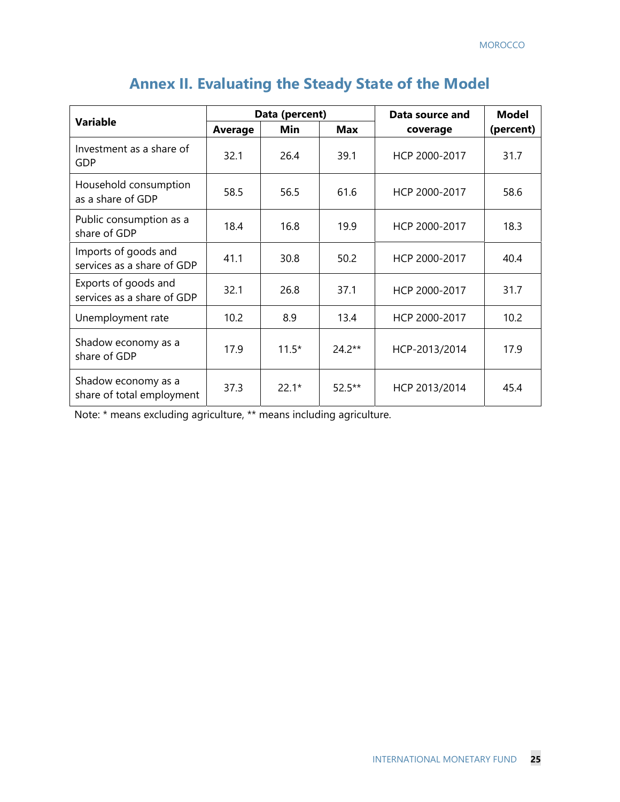| <b>Variable</b>                                    | Data (percent) |         |            | Data source and | <b>Model</b> |
|----------------------------------------------------|----------------|---------|------------|-----------------|--------------|
|                                                    | <b>Average</b> | Min     | <b>Max</b> | coverage        | (percent)    |
| Investment as a share of<br>GDP                    | 32.1           | 26.4    | 39.1       | HCP 2000-2017   | 31.7         |
| Household consumption<br>as a share of GDP         | 58.5           | 56.5    | 61.6       | HCP 2000-2017   | 58.6         |
| Public consumption as a<br>share of GDP            | 18.4           | 16.8    | 19.9       | HCP 2000-2017   | 18.3         |
| Imports of goods and<br>services as a share of GDP | 41.1           | 30.8    | 50.2       | HCP 2000-2017   | 40.4         |
| Exports of goods and<br>services as a share of GDP | 32.1           | 26.8    | 37.1       | HCP 2000-2017   | 31.7         |
| Unemployment rate                                  | 10.2           | 8.9     | 13.4       | HCP 2000-2017   | 10.2         |
| Shadow economy as a<br>share of GDP                | 17.9           | $11.5*$ | $24.2**$   | HCP-2013/2014   | 17.9         |
| Shadow economy as a<br>share of total employment   | 37.3           | $22.1*$ | $52.5***$  | HCP 2013/2014   | 45.4         |

# **Annex II. Evaluating the Steady State of the Model**

Note: \* means excluding agriculture, \*\* means including agriculture.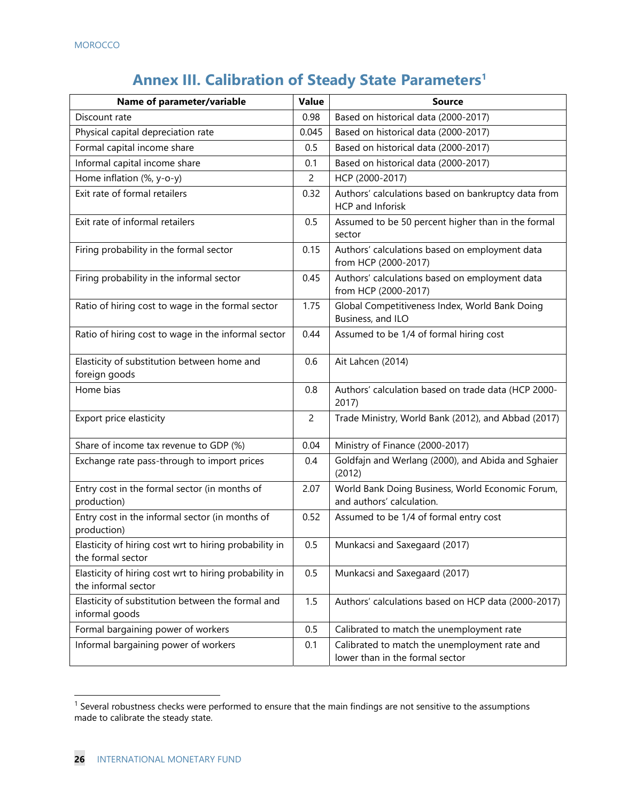# **Annex III. Calibration of Steady State Parameters1**

| Name of parameter/variable                                                    | <b>Value</b>   | <b>Source</b>                                                                    |
|-------------------------------------------------------------------------------|----------------|----------------------------------------------------------------------------------|
| Discount rate                                                                 | 0.98           | Based on historical data (2000-2017)                                             |
| Physical capital depreciation rate                                            | 0.045          | Based on historical data (2000-2017)                                             |
| Formal capital income share                                                   | 0.5            | Based on historical data (2000-2017)                                             |
| Informal capital income share                                                 | 0.1            | Based on historical data (2000-2017)                                             |
| Home inflation (%, y-o-y)                                                     | 2              | HCP (2000-2017)                                                                  |
| Exit rate of formal retailers                                                 | 0.32           | Authors' calculations based on bankruptcy data from<br>HCP and Inforisk          |
| Exit rate of informal retailers                                               | 0.5            | Assumed to be 50 percent higher than in the formal<br>sector                     |
| Firing probability in the formal sector                                       | 0.15           | Authors' calculations based on employment data<br>from HCP (2000-2017)           |
| Firing probability in the informal sector                                     | 0.45           | Authors' calculations based on employment data<br>from HCP (2000-2017)           |
| Ratio of hiring cost to wage in the formal sector                             | 1.75           | Global Competitiveness Index, World Bank Doing<br>Business, and ILO              |
| Ratio of hiring cost to wage in the informal sector                           | 0.44           | Assumed to be 1/4 of formal hiring cost                                          |
| Elasticity of substitution between home and<br>foreign goods                  | 0.6            | Ait Lahcen (2014)                                                                |
| Home bias                                                                     | 0.8            | Authors' calculation based on trade data (HCP 2000-<br>2017)                     |
| Export price elasticity                                                       | $\overline{c}$ | Trade Ministry, World Bank (2012), and Abbad (2017)                              |
| Share of income tax revenue to GDP (%)                                        | 0.04           | Ministry of Finance (2000-2017)                                                  |
| Exchange rate pass-through to import prices                                   | 0.4            | Goldfajn and Werlang (2000), and Abida and Sghaier<br>(2012)                     |
| Entry cost in the formal sector (in months of<br>production)                  | 2.07           | World Bank Doing Business, World Economic Forum,<br>and authors' calculation.    |
| Entry cost in the informal sector (in months of<br>production)                | 0.52           | Assumed to be 1/4 of formal entry cost                                           |
| Elasticity of hiring cost wrt to hiring probability in<br>the formal sector   | 0.5            | Munkacsi and Saxegaard (2017)                                                    |
| Elasticity of hiring cost wrt to hiring probability in<br>the informal sector | 0.5            | Munkacsi and Saxegaard (2017)                                                    |
| Elasticity of substitution between the formal and<br>informal goods           | 1.5            | Authors' calculations based on HCP data (2000-2017)                              |
| Formal bargaining power of workers                                            | 0.5            | Calibrated to match the unemployment rate                                        |
| Informal bargaining power of workers                                          | 0.1            | Calibrated to match the unemployment rate and<br>lower than in the formal sector |

<sup>&</sup>lt;sup>1</sup> Several robustness checks were performed to ensure that the main findings are not sensitive to the assumptions made to calibrate the steady state.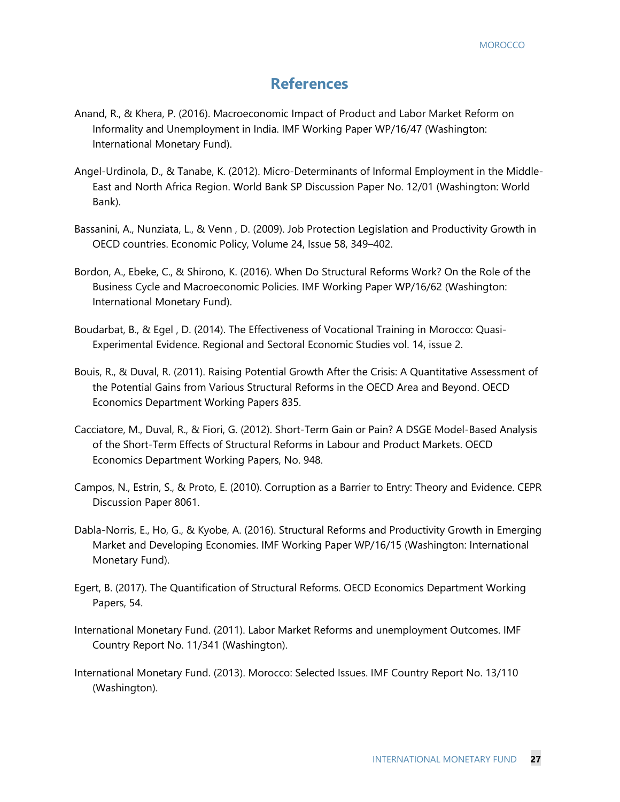# **References**

- Anand, R., & Khera, P. (2016). Macroeconomic Impact of Product and Labor Market Reform on Informality and Unemployment in India. IMF Working Paper WP/16/47 (Washington: International Monetary Fund).
- Angel-Urdinola, D., & Tanabe, K. (2012). Micro-Determinants of Informal Employment in the Middle-East and North Africa Region. World Bank SP Discussion Paper No. 12/01 (Washington: World Bank).
- Bassanini, A., Nunziata, L., & Venn , D. (2009). Job Protection Legislation and Productivity Growth in OECD countries. Economic Policy, Volume 24, Issue 58, 349–402.
- Bordon, A., Ebeke, C., & Shirono, K. (2016). When Do Structural Reforms Work? On the Role of the Business Cycle and Macroeconomic Policies. IMF Working Paper WP/16/62 (Washington: International Monetary Fund).
- Boudarbat, B., & Egel , D. (2014). The Effectiveness of Vocational Training in Morocco: Quasi-Experimental Evidence. Regional and Sectoral Economic Studies vol. 14, issue 2.
- Bouis, R., & Duval, R. (2011). Raising Potential Growth After the Crisis: A Quantitative Assessment of the Potential Gains from Various Structural Reforms in the OECD Area and Beyond. OECD Economics Department Working Papers 835.
- Cacciatore, M., Duval, R., & Fiori, G. (2012). Short-Term Gain or Pain? A DSGE Model-Based Analysis of the Short-Term Effects of Structural Reforms in Labour and Product Markets. OECD Economics Department Working Papers, No. 948.
- Campos, N., Estrin, S., & Proto, E. (2010). Corruption as a Barrier to Entry: Theory and Evidence. CEPR Discussion Paper 8061.
- Dabla-Norris, E., Ho, G., & Kyobe, A. (2016). Structural Reforms and Productivity Growth in Emerging Market and Developing Economies. IMF Working Paper WP/16/15 (Washington: International Monetary Fund).
- Egert, B. (2017). The Quantification of Structural Reforms. OECD Economics Department Working Papers, 54.
- International Monetary Fund. (2011). Labor Market Reforms and unemployment Outcomes. IMF Country Report No. 11/341 (Washington).
- International Monetary Fund. (2013). Morocco: Selected Issues. IMF Country Report No. 13/110 (Washington).